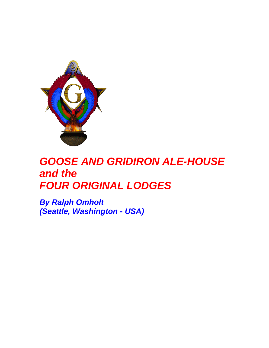

## *GOOSE AND GRIDIRON ALE-HOUSE and the FOUR ORIGINAL LODGES*

*By Ralph Omholt (Seattle, Washington - USA)*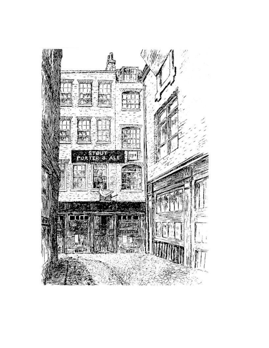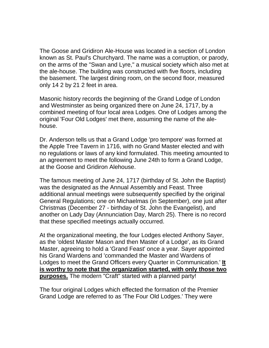The Goose and Gridiron Ale-House was located in a section of London known as St. Paul's Churchyard. The name was a corruption, or parody, on the arms of the "Swan and Lyre," a musical society which also met at the ale-house. The building was constructed with five floors, including the basement. The largest dining room, on the second floor, measured only 14 2 by 21 2 feet in area.

Masonic history records the beginning of the Grand Lodge of London and Westminster as being organized there on June 24, 1717, by a combined meeting of four local area Lodges. One of Lodges among the original 'Four Old Lodges' met there, assuming the name of the alehouse.

Dr. Anderson tells us that a Grand Lodge 'pro tempore' was formed at the Apple Tree Tavern in 1716, with no Grand Master elected and with no regulations or laws of any kind formulated. This meeting amounted to an agreement to meet the following June 24th to form a Grand Lodge, at the Goose and Gridiron Alehouse.

The famous meeting of June 24, 1717 (birthday of St. John the Baptist) was the designated as the Annual Assembly and Feast. Three additional annual meetings were subsequently specified by the original General Regulations; one on Michaelmas (in September), one just after Christmas (December 27 - birthday of St. John the Evangelist), and another on Lady Day (Annunciation Day, March 25). There is no record that these specified meetings actually occurred.

At the organizational meeting, the four Lodges elected Anthony Sayer, as the 'oldest Master Mason and then Master of a Lodge', as its Grand Master, agreeing to hold a 'Grand Feast' once a year. Sayer appointed his Grand Wardens and 'commanded the Master and Wardens of Lodges to meet the Grand Officers every Quarter in Communication.' **It is worthy to note that the organization started, with only those two purposes.** The modern "Craft" started with a planned party!

The four original Lodges which effected the formation of the Premier Grand Lodge are referred to as 'The Four Old Lodges.' They were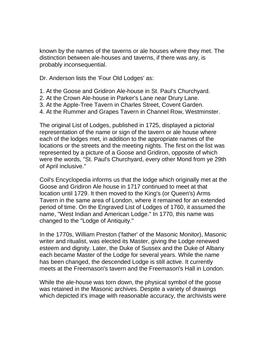known by the names of the taverns or ale houses where they met. The distinction between ale-houses and taverns, if there was any, is probably inconsequential.

Dr. Anderson lists the 'Four Old Lodges' as:

- 1. At the Goose and Gridiron Ale-house in St. Paul's Churchyard.
- 2. At the Crown Ale-house in Parker's Lane near Drury Lane.
- 3. At the Apple-Tree Tavern in Charles Street, Covent Garden.
- 4. At the Rummer and Grapes Tavern in Channel Row, Westminster.

The original List of Lodges, published in 1725, displayed a pictorial representation of the name or sign of the tavern or ale house where each of the lodges met, in addition to the appropriate names of the locations or the streets and the meeting nights. The first on the list was represented by a picture of a Goose and Gridiron, opposite of which were the words, "St. Paul's Churchyard, every other Mond from ye 29th of April inclusive."

Coil's Encyclopedia informs us that the lodge which originally met at the Goose and Gridiron Ale house in 1717 continued to meet at that location until 1729. It then moved to the King's (or Queen's) Arms Tavern in the same area of London, where it remained for an extended period of time. On the Engraved List of Lodges of 1760, it assumed the name, "West Indian and American Lodge." In 1770, this name was changed to the "Lodge of Antiquity."

In the 1770s, William Preston ('father' of the Masonic Monitor), Masonic writer and ritualist, was elected its Master, giving the Lodge renewed esteem and dignity. Later, the Duke of Sussex and the Duke of Albany each became Master of the Lodge for several years. While the name has been changed, the descended Lodge is still active. It currently meets at the Freemason's tavern and the Freemason's Hall in London.

While the ale-house was torn down, the physical symbol of the goose was retained in the Masonic archives. Despite a variety of drawings which depicted it's image with reasonable accuracy, the archivists were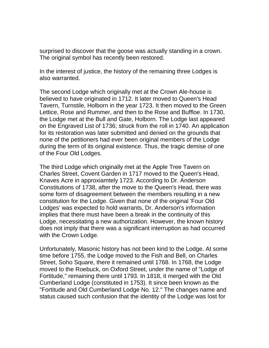surprised to discover that the goose was actually standing in a crown. The original symbol has recently been restored.

In the interest of justice, the history of the remaining three Lodges is also warranted.

The second Lodge which originally met at the Crown Ale-house is believed to have originated in 1712. It later moved to Queen's Head Tavern, Turnstile, Holborn in the year 1723. It then moved to the Green Lettice, Rose and Rummer, and then to the Rose and Buffloe. In 1730, the Lodge met at the Bull and Gate, Holborn. The Lodge last appeared on the Engraved List of 1736; struck from the roll in 1740. An application for its restoration was later submitted and denied on the grounds that none of the petitioners had ever been original members of the Lodge during the term of its original existence. Thus, the tragic demise of one of the Four Old Lodges.

The third Lodge which originally met at the Apple Tree Tavern on Charles Street, Covent Garden in 1717 moved to the Queen's Head, Knaves Acre in approxiamtely 1723. According to Dr. Anderson Constitutions of 1738, after the move to the Queen's Head, there was some form of disagreement between the members resulting in a new constitution for the Lodge. Given that none of the original 'Four Old Lodges' was expected to hold warrants, Dr. Anderson's information implies that there must have been a break in the continuity of this Lodge, necessitating a new authorization. However, the known history does not imply that there was a significant interruption as had occurred with the Crown Lodge.

Unfortunately, Masonic history has not been kind to the Lodge. At some time before 1755, the Lodge moved to the Fish and Bell, on Charles Street, Soho Square, there it remained until 1768. In 1768, the Lodge moved to the Roebuck, on Oxford Street, under the name of "Lodge of Fortitude," remaining there until 1793. In 1818, it merged with the Old Cumberland Lodge (constituted in 1753). It since been known as the "Fortitude and Old Cumberland Lodge No. 12." The changes name and status caused such confusion that the identity of the Lodge was lost for